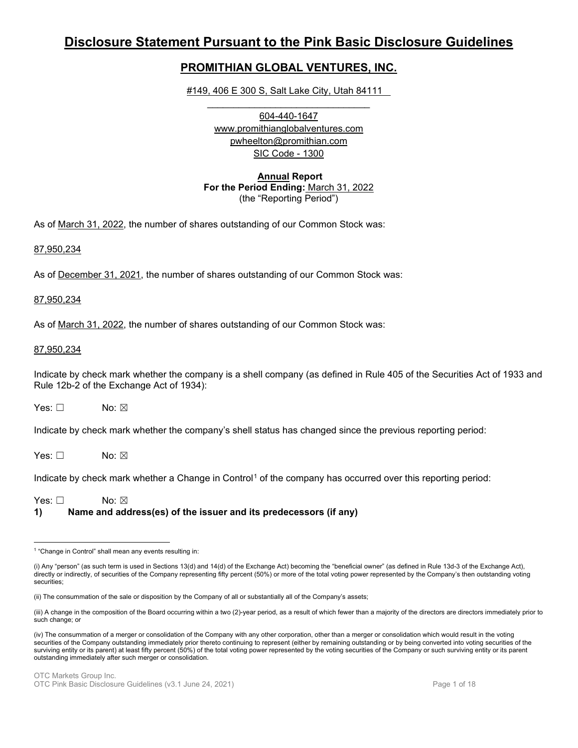# **Disclosure Statement Pursuant to the Pink Basic Disclosure Guidelines**

# **PROMITHIAN GLOBAL VENTURES, INC.**

#149, 406 E 300 S, Salt Lake City, Utah 84111 \_\_\_\_\_\_\_\_\_\_\_\_\_\_\_\_\_\_\_\_\_\_\_\_\_\_\_\_\_\_\_

> 604-440-1647 www.promithianglobalventures.com pwheelton@promithian.com SIC Code - 1300

**Annual Report For the Period Ending:** March 31, 2022 (the "Reporting Period")

As of March 31, 2022, the number of shares outstanding of our Common Stock was:

87,950,234

As of December 31, 2021, the number of shares outstanding of our Common Stock was:

87,950,234

As of March 31, 2022, the number of shares outstanding of our Common Stock was:

### 87,950,234

Indicate by check mark whether the company is a shell company (as defined in Rule 405 of the Securities Act of 1933 and Rule 12b-2 of the Exchange Act of 1934):

Yes: □ No: ⊠

Indicate by check mark whether the company's shell status has changed since the previous reporting period:

 $Yes: \Box$  No:  $\boxtimes$ 

Indicate by check mark whether a Change in Control<sup>[1](#page-0-0)</sup> of the company has occurred over this reporting period:

 $Yes: \Box$  No:  $\boxtimes$ 

**1) Name and address(es) of the issuer and its predecessors (if any)**

<span id="page-0-0"></span><sup>1</sup> "Change in Control" shall mean any events resulting in:

<sup>(</sup>i) Any "person" (as such term is used in Sections 13(d) and 14(d) of the Exchange Act) becoming the "beneficial owner" (as defined in Rule 13d-3 of the Exchange Act), directly or indirectly, of securities of the Company representing fifty percent (50%) or more of the total voting power represented by the Company's then outstanding voting securities;

<sup>(</sup>ii) The consummation of the sale or disposition by the Company of all or substantially all of the Company's assets;

<sup>(</sup>iii) A change in the composition of the Board occurring within a two (2)-year period, as a result of which fewer than a majority of the directors are directors immediately prior to such change; or

<sup>(</sup>iv) The consummation of a merger or consolidation of the Company with any other corporation, other than a merger or consolidation which would result in the voting securities of the Company outstanding immediately prior thereto continuing to represent (either by remaining outstanding or by being converted into voting securities of the surviving entity or its parent) at least fifty percent (50%) of the total voting power represented by the voting securities of the Company or such surviving entity or its parent outstanding immediately after such merger or consolidation.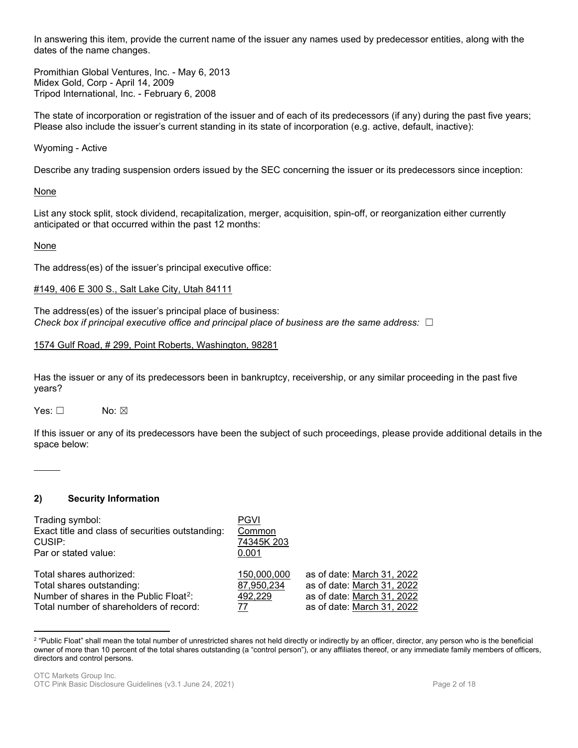In answering this item, provide the current name of the issuer any names used by predecessor entities, along with the dates of the name changes.

Promithian Global Ventures, Inc. - May 6, 2013 Midex Gold, Corp - April 14, 2009 Tripod International, Inc. - February 6, 2008

The state of incorporation or registration of the issuer and of each of its predecessors (if any) during the past five years; Please also include the issuer's current standing in its state of incorporation (e.g. active, default, inactive):

Wyoming - Active

Describe any trading suspension orders issued by the SEC concerning the issuer or its predecessors since inception:

### None

List any stock split, stock dividend, recapitalization, merger, acquisition, spin-off, or reorganization either currently anticipated or that occurred within the past 12 months:

### None

The address(es) of the issuer's principal executive office:

### #149, 406 E 300 S., Salt Lake City, Utah 84111

The address(es) of the issuer's principal place of business: *Check box if principal executive office and principal place of business are the same address:* ☐

### 1574 Gulf Road, # 299, Point Roberts, Washington, 98281

Has the issuer or any of its predecessors been in bankruptcy, receivership, or any similar proceeding in the past five years?

Yes: □ No: ⊠

If this issuer or any of its predecessors have been the subject of such proceedings, please provide additional details in the space below:

 $\ddot{\phantom{a}}$ 

### **2) Security Information**

| Trading symbol:<br>Exact title and class of securities outstanding:<br>CUSIP:<br>Par or stated value: | <b>PGVI</b><br>Common<br>74345K 203<br>0.001 |                            |
|-------------------------------------------------------------------------------------------------------|----------------------------------------------|----------------------------|
| Total shares authorized:                                                                              | 150,000,000                                  | as of date: March 31, 2022 |
| Total shares outstanding:                                                                             | 87,950,234                                   | as of date: March 31, 2022 |
| Number of shares in the Public Float <sup>2</sup> :                                                   | 492.229                                      | as of date: March 31, 2022 |
| Total number of shareholders of record:                                                               | 77                                           | as of date: March 31, 2022 |

<span id="page-1-0"></span><sup>&</sup>lt;sup>2</sup> "Public Float" shall mean the total number of unrestricted shares not held directly or indirectly by an officer, director, any person who is the beneficial owner of more than 10 percent of the total shares outstanding (a "control person"), or any affiliates thereof, or any immediate family members of officers, directors and control persons.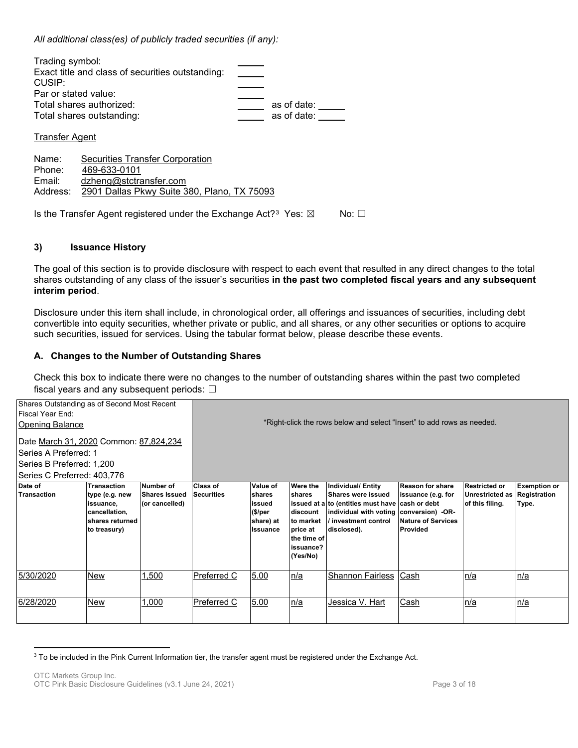*All additional class(es) of publicly traded securities (if any):*

| Trading symbol:                                  |             |
|--------------------------------------------------|-------------|
| Exact title and class of securities outstanding: |             |
| CUSIP:                                           |             |
| Par or stated value:                             |             |
| Total shares authorized:                         | as of date: |
| Total shares outstanding:                        | as of date: |
|                                                  |             |

Transfer Agent

| Name:    | Securities Transfer Corporation             |
|----------|---------------------------------------------|
| Phone:   | 469-633-0101                                |
| Email:   | dzheng@stctransfer.com                      |
| Address: | 2901 Dallas Pkwy Suite 380, Plano, TX 75093 |
|          |                                             |

Is the Transfer Agent registered under the Exchange Act?<sup>3</sup> Yes:  $\boxtimes$  No:  $\Box$ 

### **3) Issuance History**

The goal of this section is to provide disclosure with respect to each event that resulted in any direct changes to the total shares outstanding of any class of the issuer's securities **in the past two completed fiscal years and any subsequent interim period**.

Disclosure under this item shall include, in chronological order, all offerings and issuances of securities, including debt convertible into equity securities, whether private or public, and all shares, or any other securities or options to acquire such securities, issued for services. Using the tabular format below, please describe these events.

### **A. Changes to the Number of Outstanding Shares**

Check this box to indicate there were no changes to the number of outstanding shares within the past two completed fiscal years and any subsequent periods:  $\Box$ 

| Shares Outstanding as of Second Most Recent                                                                                  |                                                                                 |                                        |                 |                                                     |                                                                                              |                                                                                                                                                         |                                                      |                                                 |                     |
|------------------------------------------------------------------------------------------------------------------------------|---------------------------------------------------------------------------------|----------------------------------------|-----------------|-----------------------------------------------------|----------------------------------------------------------------------------------------------|---------------------------------------------------------------------------------------------------------------------------------------------------------|------------------------------------------------------|-------------------------------------------------|---------------------|
| <b>Fiscal Year End:</b>                                                                                                      |                                                                                 |                                        |                 |                                                     |                                                                                              |                                                                                                                                                         |                                                      |                                                 |                     |
| <b>Opening Balance</b>                                                                                                       |                                                                                 |                                        |                 |                                                     |                                                                                              | *Right-click the rows below and select "Insert" to add rows as needed.                                                                                  |                                                      |                                                 |                     |
| Date March 31, 2020 Common: 87,824,234<br>lSeries A Preferred: 1<br>Series B Preferred: 1,200<br>Series C Preferred: 403,776 |                                                                                 |                                        |                 |                                                     |                                                                                              |                                                                                                                                                         |                                                      |                                                 |                     |
| Date of                                                                                                                      | <b>Transaction</b>                                                              | Number of                              | <b>Class of</b> | Value of                                            | Were the                                                                                     | Individual/ Entity                                                                                                                                      | Reason for share                                     | Restricted or                                   | <b>Exemption or</b> |
| <b>Transaction</b>                                                                                                           | type (e.g. new<br>issuance,<br>cancellation,<br>shares returned<br>to treasury) | <b>Shares Issued</b><br>(or cancelled) | Securities      | shares<br>issued<br>\$/per<br>share) at<br>Issuance | <b>Ishares</b><br>discount<br>to market<br>price at<br>the time of<br>lissuance?<br>(Yes/No) | Shares were issued<br>issued at a to (entities must have cash or debt<br>individual with voting conversion) -OR-<br>/ investment control<br>disclosed). | issuance (e.g. for<br>Nature of Services<br>Provided | Unrestricted as Registration<br>of this filing. | Type.               |
| 5/30/2020                                                                                                                    | New                                                                             | 1,500                                  | Preferred C     | 5.00                                                | n/a                                                                                          | <b>Shannon Fairless</b>                                                                                                                                 | <b>Cash</b>                                          | n/a                                             | n/a                 |
| 6/28/2020                                                                                                                    | New                                                                             | 1,000                                  | Preferred C     | 5.00                                                | n/a                                                                                          | Jessica V. Hart                                                                                                                                         | Cash                                                 | n/a                                             | n/a                 |

<span id="page-2-0"></span><sup>&</sup>lt;sup>3</sup> To be included in the Pink Current Information tier, the transfer agent must be registered under the Exchange Act.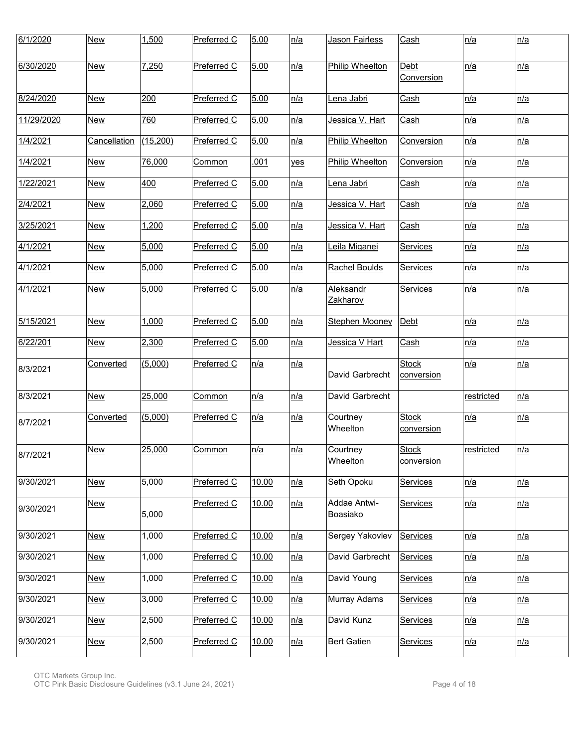| 6/1/2020   | <b>New</b>   | 1,500    | Preferred C   | 5.00  | n/a | Jason Fairless               | Cash                       | n/a               | n/a        |
|------------|--------------|----------|---------------|-------|-----|------------------------------|----------------------------|-------------------|------------|
| 6/30/2020  | New          | 7,250    | Preferred C   | 5.00  | n/a | Philip Wheelton              | Debt<br>Conversion         | n/a               | n/a        |
| 8/24/2020  | <b>New</b>   | 200      | Preferred C   | 5.00  | n/a | <u>Lena Jabri</u>            | Cash                       | n/a               | n/a        |
| 11/29/2020 | <u>New</u>   | 760      | Preferred C   | 5.00  | n/a | Jessica V. Hart              | Cash                       | n/a               | n/a        |
| 1/4/2021   | Cancellation | (15,200) | Preferred C   | 5.00  | n/a | <b>Philip Wheelton</b>       | Conversion                 | n/a               | n/a        |
| 1/4/2021   | <b>New</b>   | 76,000   | Common        | .001  | yes | Philip Wheelton              | Conversion                 | n/a               | n/a        |
| 1/22/2021  | <u>New</u>   | 400      | Preferred C   | 5.00  | n/a | <u>Lena Jabri</u>            | Cash                       | n/a               | n/a        |
| 2/4/2021   | <b>New</b>   | 2,060    | Preferred C   | 5.00  | n/a | <u>Jessica V. Hart</u>       | Cash                       | <u>n/a</u>        | <u>n/a</u> |
| 3/25/2021  | <u>New</u>   | 1,200    | Preferred C   | 5.00  | n/a | Jessica V. Hart              | Cash                       | n/a               | n/a        |
| 4/1/2021   | <b>New</b>   | 5,000    | Preferred C   | 5.00  | n/a | <u>Leila Miganei</u>         | <b>Services</b>            | n/a               | n/a        |
| 4/1/2021   | <u>New</u>   | 5,000    | Preferred C   | 5.00  | n/a | Rachel Boulds                | <b>Services</b>            | n/a               | n/a        |
| 4/1/2021   | <b>New</b>   | 5,000    | Preferred C   | 5.00  | n/a | Aleksandr<br><b>Zakharov</b> | <u>Services</u>            | <u>n/a</u>        | n/a        |
| 5/15/2021  | <b>New</b>   | 1,000    | Preferred C   | 5.00  | n/a | Stephen Mooney               | Debt                       | n/a               | n/a        |
| 6/22/201   | <b>New</b>   | 2,300    | Preferred C   | 5.00  | n/a | Jessica V Hart               | Cash                       | n/a               | n/a        |
| 8/3/2021   | Converted    | (5,000)  | Preferred C   | n/a   | n/a | David Garbrecht              | <b>Stock</b><br>conversion | n/a               | n/a        |
| 8/3/2021   | New          | 25,000   | <u>Common</u> | n/a   | n/a | David Garbrecht              |                            | restricted        | n/a        |
| 8/7/2021   | Converted    | (5,000)  | Preferred C   | n/a   | n/a | Courtney<br>Wheelton         | <b>Stock</b><br>conversion | n/a               | n/a        |
| 8/7/2021   | <b>New</b>   | 25,000   | Common        | n/a   | n/a | Courtney<br>Wheelton         | <b>Stock</b><br>conversion | <u>restricted</u> | n/a        |
| 9/30/2021  | <b>New</b>   | 5,000    | Preferred C   | 10.00 | n/a | Seth Opoku                   | <b>Services</b>            | n/a               | <u>n/a</u> |
| 9/30/2021  | <b>New</b>   | 5,000    | Preferred C   | 10.00 | n/a | Addae Antwi-<br>Boasiako     | <b>Services</b>            | n/a               | n/a        |
| 9/30/2021  | <b>New</b>   | 1,000    | Preferred C   | 10.00 | n/a | Sergey Yakovlev              | <b>Services</b>            | n/a               | n/a        |
| 9/30/2021  | <b>New</b>   | 1,000    | Preferred C   | 10.00 | n/a | David Garbrecht              | <b>Services</b>            | <u>n/a</u>        | n/a        |
| 9/30/2021  | <b>New</b>   | 1,000    | Preferred C   | 10.00 | n/a | David Young                  | Services                   | <u>n/a</u>        | <u>n/a</u> |
| 9/30/2021  | <b>New</b>   | 3,000    | Preferred C   | 10.00 | n/a | Murray Adams                 | <b>Services</b>            | n/a               | n/a        |
| 9/30/2021  | <u>New</u>   | 2,500    | Preferred C   | 10.00 | n/a | David Kunz                   | <b>Services</b>            | n/a               | <u>n/a</u> |
| 9/30/2021  | <b>New</b>   | 2,500    | Preferred C   | 10.00 | n/a | <b>Bert Gatien</b>           | <u>Services</u>            | <u>n/a</u>        | <u>n/a</u> |

OTC Markets Group Inc.

OTC Pink Basic Disclosure Guidelines (v3.1 June 24, 2021) Page 4 of 18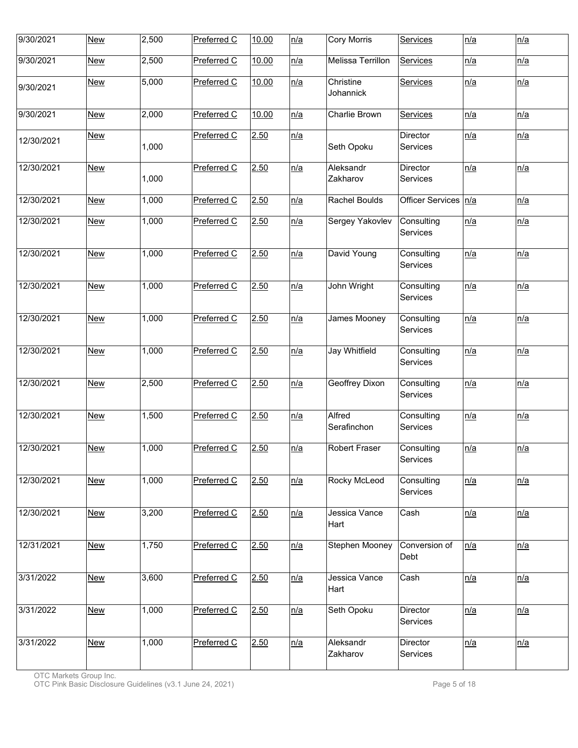| 9/30/2021  | New        | 2,500 | Preferred C | 10.00 | n/a | Cory Morris            | <b>Services</b>         | n/a | n/a |
|------------|------------|-------|-------------|-------|-----|------------------------|-------------------------|-----|-----|
| 9/30/2021  | <b>New</b> | 2,500 | Preferred C | 10.00 | n/a | Melissa Terrillon      | Services                | n/a | n/a |
| 9/30/2021  | <b>New</b> | 5,000 | Preferred C | 10.00 | n/a | Christine<br>Johannick | <b>Services</b>         | n/a | n/a |
| 9/30/2021  | <b>New</b> | 2,000 | Preferred C | 10.00 | n/a | Charlie Brown          | <b>Services</b>         | n/a | n/a |
| 12/30/2021 | <b>New</b> | 1,000 | Preferred C | 2.50  | n/a | Seth Opoku             | Director<br>Services    | n/a | n/a |
| 12/30/2021 | <b>New</b> | 1,000 | Preferred C | 2.50  | n/a | Aleksandr<br>Zakharov  | Director<br>Services    | n/a | n/a |
| 12/30/2021 | <b>New</b> | 1,000 | Preferred C | 2.50  | n/a | Rachel Boulds          | <b>Officer Services</b> | n/a | n/a |
| 12/30/2021 | <b>New</b> | 1,000 | Preferred C | 2.50  | n/a | Sergey Yakovlev        | Consulting<br>Services  | n/a | n/a |
| 12/30/2021 | <b>New</b> | 1,000 | Preferred C | 2.50  | n/a | David Young            | Consulting<br>Services  | n/a | n/a |
| 12/30/2021 | <b>New</b> | 1,000 | Preferred C | 2.50  | n/a | John Wright            | Consulting<br>Services  | n/a | n/a |
| 12/30/2021 | <b>New</b> | 1,000 | Preferred C | 2.50  | n/a | James Mooney           | Consulting<br>Services  | n/a | n/a |
| 12/30/2021 | <b>New</b> | 1,000 | Preferred C | 2.50  | n/a | <b>Jay Whitfield</b>   | Consulting<br>Services  | n/a | n/a |
| 12/30/2021 | <b>New</b> | 2,500 | Preferred C | 2.50  | n/a | <b>Geoffrey Dixon</b>  | Consulting<br>Services  | n/a | n/a |
| 12/30/2021 | <b>New</b> | 1,500 | Preferred C | 2.50  | n/a | Alfred<br>Serafinchon  | Consulting<br>Services  | n/a | n/a |
| 12/30/2021 | <b>New</b> | 1,000 | Preferred C | 2.50  | n/a | Robert Fraser          | Consulting<br>Services  | n/a | n/a |
| 12/30/2021 | <b>New</b> | 1,000 | Preferred C | 2.50  | n/a | <b>Rocky McLeod</b>    | Consulting<br>Services  | n/a | n/a |
| 12/30/2021 | <b>New</b> | 3,200 | Preferred C | 2.50  | n/a | Jessica Vance<br>Hart  | Cash                    | n/a | n/a |
| 12/31/2021 | <b>New</b> | 1,750 | Preferred C | 2.50  | n/a | Stephen Mooney         | Conversion of<br>Debt   | n/a | n/a |
| 3/31/2022  | <b>New</b> | 3,600 | Preferred C | 2.50  | n/a | Jessica Vance<br>Hart  | Cash                    | n/a | n/a |
| 3/31/2022  | <b>New</b> | 1,000 | Preferred C | 2.50  | n/a | Seth Opoku             | Director<br>Services    | n/a | n/a |
| 3/31/2022  | <b>New</b> | 1,000 | Preferred C | 2.50  | n/a | Aleksandr<br>Zakharov  | Director<br>Services    | n/a | n/a |

OTC Markets Group Inc.

OTC Pink Basic Disclosure Guidelines (v3.1 June 24, 2021) Page 5 of 18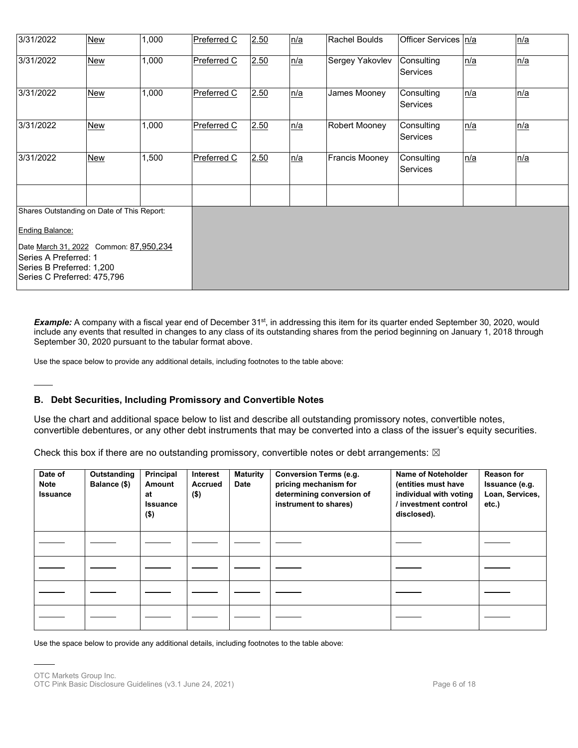| 3/31/2022                                                                                                                    | New        | 1,000 | Preferred C        | 2.50 | n/a | <b>Rachel Boulds</b>  | Officer Services   n/a        |     | n/a |
|------------------------------------------------------------------------------------------------------------------------------|------------|-------|--------------------|------|-----|-----------------------|-------------------------------|-----|-----|
| 3/31/2022                                                                                                                    | <b>New</b> | 1,000 | Preferred C        | 2.50 | n/a | Sergey Yakovlev       | Consulting<br><b>Services</b> | n/a | n/a |
| 3/31/2022                                                                                                                    | New        | 1,000 | Preferred C        | 2.50 | n/a | James Mooney          | Consulting<br><b>Services</b> | n/a | n/a |
| 3/31/2022                                                                                                                    | <b>New</b> | 1,000 | Preferred C        | 2.50 | n/a | Robert Mooney         | Consulting<br><b>Services</b> | n/a | n/a |
| 3/31/2022                                                                                                                    | <b>New</b> | 1,500 | <b>Preferred C</b> | 2.50 | n/a | <b>Francis Mooney</b> | Consulting<br><b>Services</b> | n/a | n/a |
|                                                                                                                              |            |       |                    |      |     |                       |                               |     |     |
| Shares Outstanding on Date of This Report:                                                                                   |            |       |                    |      |     |                       |                               |     |     |
| Ending Balance:                                                                                                              |            |       |                    |      |     |                       |                               |     |     |
| Date March 31, 2022 Common: 87,950,234<br>lSeries A Preferred: 1<br>Series B Preferred: 1,200<br>Series C Preferred: 475,796 |            |       |                    |      |     |                       |                               |     |     |

Example: A company with a fiscal year end of December 31<sup>st</sup>, in addressing this item for its quarter ended September 30, 2020, would include any events that resulted in changes to any class of its outstanding shares from the period beginning on January 1, 2018 through September 30, 2020 pursuant to the tabular format above.

Use the space below to provide any additional details, including footnotes to the table above:

### **B. Debt Securities, Including Promissory and Convertible Notes**

Use the chart and additional space below to list and describe all outstanding promissory notes, convertible notes, convertible debentures, or any other debt instruments that may be converted into a class of the issuer's equity securities.

Check this box if there are no outstanding promissory, convertible notes or debt arrangements:  $\boxtimes$ 

| Date of<br><b>Note</b><br><b>Issuance</b> | Outstanding<br>Balance (\$) | Principal<br>Amount<br>at<br><b>Issuance</b><br>$($ \$) | <b>Interest</b><br><b>Accrued</b><br>$($ \$) | <b>Maturity</b><br><b>Date</b> | <b>Conversion Terms (e.g.</b><br>pricing mechanism for<br>determining conversion of<br>instrument to shares) | Name of Noteholder<br>(entities must have<br>individual with voting<br>/ investment control<br>disclosed). | <b>Reason for</b><br>Issuance (e.g.<br>Loan, Services,<br>$etc.$ ) |
|-------------------------------------------|-----------------------------|---------------------------------------------------------|----------------------------------------------|--------------------------------|--------------------------------------------------------------------------------------------------------------|------------------------------------------------------------------------------------------------------------|--------------------------------------------------------------------|
|                                           |                             |                                                         |                                              |                                |                                                                                                              |                                                                                                            |                                                                    |
|                                           |                             |                                                         |                                              |                                |                                                                                                              |                                                                                                            |                                                                    |
|                                           |                             |                                                         |                                              |                                |                                                                                                              |                                                                                                            |                                                                    |
|                                           |                             |                                                         |                                              |                                |                                                                                                              |                                                                                                            |                                                                    |

Use the space below to provide any additional details, including footnotes to the table above:

L

OTC Markets Group Inc.

OTC Pink Basic Disclosure Guidelines (v3.1 June 24, 2021) <br>
Page 6 of 18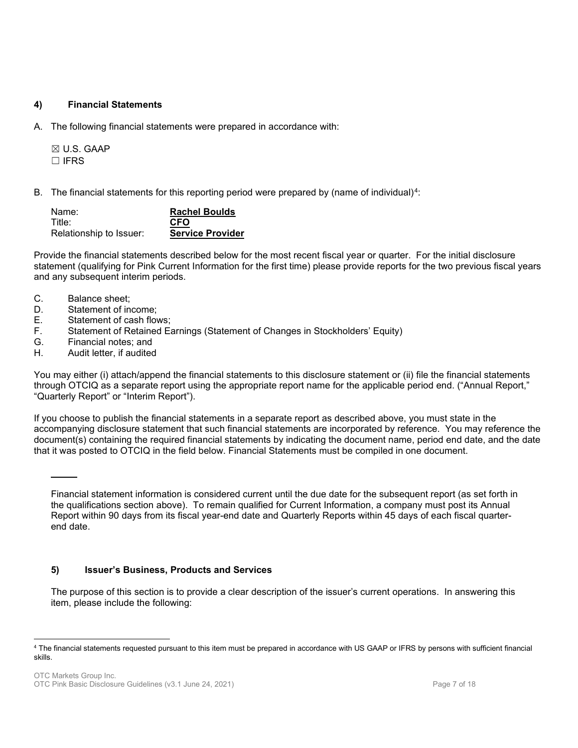### **4) Financial Statements**

A. The following financial statements were prepared in accordance with:

☒ U.S. GAAP ☐ IFRS

B. The financial statements for this reporting period were prepared by (name of individual)<sup>4</sup>:

| Name:                   | <b>Rachel Boulds</b>    |
|-------------------------|-------------------------|
| Title:                  | <b>CFO</b>              |
| Relationship to Issuer: | <b>Service Provider</b> |

Provide the financial statements described below for the most recent fiscal year or quarter. For the initial disclosure statement (qualifying for Pink Current Information for the first time) please provide reports for the two previous fiscal years and any subsequent interim periods.

C. Balance sheet;

- D. Statement of income;
- E. Statement of cash flows;
- F. Statement of Retained Earnings (Statement of Changes in Stockholders' Equity)
- G. Financial notes; and<br>H. Audit letter, if audited
- Audit letter, if audited

You may either (i) attach/append the financial statements to this disclosure statement or (ii) file the financial statements through OTCIQ as a separate report using the appropriate report name for the applicable period end. ("Annual Report," "Quarterly Report" or "Interim Report").

If you choose to publish the financial statements in a separate report as described above, you must state in the accompanying disclosure statement that such financial statements are incorporated by reference. You may reference the document(s) containing the required financial statements by indicating the document name, period end date, and the date that it was posted to OTCIQ in the field below. Financial Statements must be compiled in one document.

Financial statement information is considered current until the due date for the subsequent report (as set forth in the qualifications section above). To remain qualified for Current Information, a company must post its Annual Report within 90 days from its fiscal year-end date and Quarterly Reports within 45 days of each fiscal quarterend date.

### **5) Issuer's Business, Products and Services**

The purpose of this section is to provide a clear description of the issuer's current operations. In answering this item, please include the following:

<span id="page-6-0"></span><sup>4</sup> The financial statements requested pursuant to this item must be prepared in accordance with US GAAP or IFRS by persons with sufficient financial skills.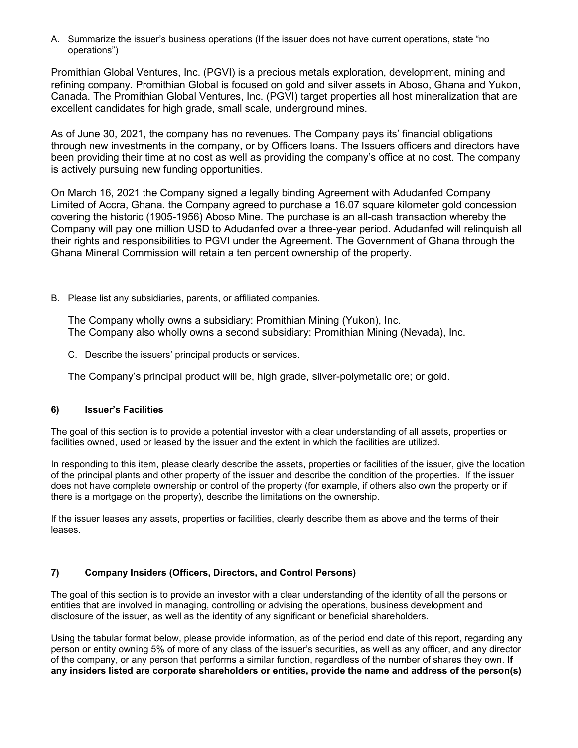A. Summarize the issuer's business operations (If the issuer does not have current operations, state "no operations")

Promithian Global Ventures, Inc. (PGVI) is a precious metals exploration, development, mining and refining company. Promithian Global is focused on gold and silver assets in Aboso, Ghana and Yukon, Canada. The Promithian Global Ventures, Inc. (PGVI) target properties all host mineralization that are excellent candidates for high grade, small scale, underground mines.

As of June 30, 2021, the company has no revenues. The Company pays its' financial obligations through new investments in the company, or by Officers loans. The Issuers officers and directors have been providing their time at no cost as well as providing the company's office at no cost. The company is actively pursuing new funding opportunities.

On March 16, 2021 the Company signed a legally binding Agreement with Adudanfed Company Limited of Accra, Ghana. the Company agreed to purchase a 16.07 square kilometer gold concession covering the historic (1905-1956) Aboso Mine. The purchase is an all-cash transaction whereby the Company will pay one million USD to Adudanfed over a three-year period. Adudanfed will relinquish all their rights and responsibilities to PGVI under the Agreement. The Government of Ghana through the Ghana Mineral Commission will retain a ten percent ownership of the property.

B. Please list any subsidiaries, parents, or affiliated companies.

The Company wholly owns a subsidiary: Promithian Mining (Yukon), Inc. The Company also wholly owns a second subsidiary: Promithian Mining (Nevada), Inc.

C. Describe the issuers' principal products or services.

The Company's principal product will be, high grade, silver-polymetalic ore; or gold.

## **6) Issuer's Facilities**

 $\ddot{\phantom{a}}$ 

The goal of this section is to provide a potential investor with a clear understanding of all assets, properties or facilities owned, used or leased by the issuer and the extent in which the facilities are utilized.

In responding to this item, please clearly describe the assets, properties or facilities of the issuer, give the location of the principal plants and other property of the issuer and describe the condition of the properties. If the issuer does not have complete ownership or control of the property (for example, if others also own the property or if there is a mortgage on the property), describe the limitations on the ownership.

If the issuer leases any assets, properties or facilities, clearly describe them as above and the terms of their leases.

## **7) Company Insiders (Officers, Directors, and Control Persons)**

The goal of this section is to provide an investor with a clear understanding of the identity of all the persons or entities that are involved in managing, controlling or advising the operations, business development and disclosure of the issuer, as well as the identity of any significant or beneficial shareholders.

Using the tabular format below, please provide information, as of the period end date of this report, regarding any person or entity owning 5% of more of any class of the issuer's securities, as well as any officer, and any director of the company, or any person that performs a similar function, regardless of the number of shares they own. **If any insiders listed are corporate shareholders or entities, provide the name and address of the person(s)**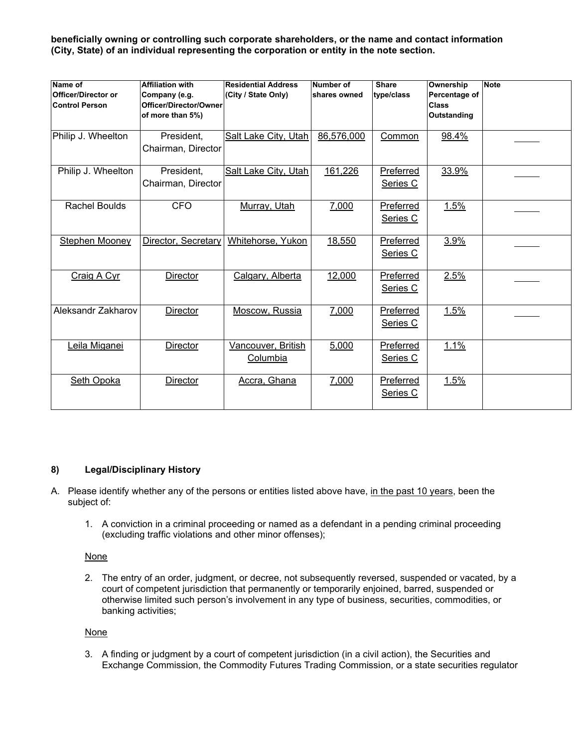**beneficially owning or controlling such corporate shareholders, or the name and contact information (City, State) of an individual representing the corporation or entity in the note section.**

| Name of<br>Officer/Director or<br><b>Control Person</b> | <b>Affiliation with</b><br>Company (e.g.<br>Officer/Director/Owner<br>of more than 5%) | <b>Residential Address</b><br>(City / State Only) | Number of<br>shares owned | <b>Share</b><br>type/class | Ownership<br>Percentage of<br><b>Class</b><br>Outstanding | <b>Note</b> |
|---------------------------------------------------------|----------------------------------------------------------------------------------------|---------------------------------------------------|---------------------------|----------------------------|-----------------------------------------------------------|-------------|
| Philip J. Wheelton                                      | President,<br>Chairman, Director                                                       | <b>Salt Lake City, Utah</b>                       | 86,576,000                | Common                     | 98.4%                                                     |             |
| Philip J. Wheelton                                      | President,<br>Chairman, Director                                                       | <b>Salt Lake City, Utah</b>                       | 161,226                   | Preferred<br>Series C      | 33.9%                                                     |             |
| <b>Rachel Boulds</b>                                    | <b>CFO</b>                                                                             | Murray, Utah                                      | 7,000                     | Preferred<br>Series C      | 1.5%                                                      |             |
| Stephen Mooney                                          | Director, Secretary                                                                    | Whitehorse, Yukon                                 | 18,550                    | Preferred<br>Series C      | 3.9%                                                      |             |
| Craig A Cyr                                             | Director                                                                               | Calgary, Alberta                                  | 12,000                    | Preferred<br>Series C      | 2.5%                                                      |             |
| Aleksandr Zakharov                                      | Director                                                                               | Moscow, Russia                                    | 7,000                     | Preferred<br>Series C      | 1.5%                                                      |             |
| Leila Miganei                                           | <b>Director</b>                                                                        | Vancouver, British<br>Columbia                    | 5,000                     | Preferred<br>Series C      | 1.1%                                                      |             |
| <b>Seth Opoka</b>                                       | Director                                                                               | Accra, Ghana                                      | 7,000                     | Preferred<br>Series C      | 1.5%                                                      |             |

### **8) Legal/Disciplinary History**

- A. Please identify whether any of the persons or entities listed above have, in the past 10 years, been the subject of:
	- 1. A conviction in a criminal proceeding or named as a defendant in a pending criminal proceeding (excluding traffic violations and other minor offenses);

### **None**

2. The entry of an order, judgment, or decree, not subsequently reversed, suspended or vacated, by a court of competent jurisdiction that permanently or temporarily enjoined, barred, suspended or otherwise limited such person's involvement in any type of business, securities, commodities, or banking activities;

### None

3. A finding or judgment by a court of competent jurisdiction (in a civil action), the Securities and Exchange Commission, the Commodity Futures Trading Commission, or a state securities regulator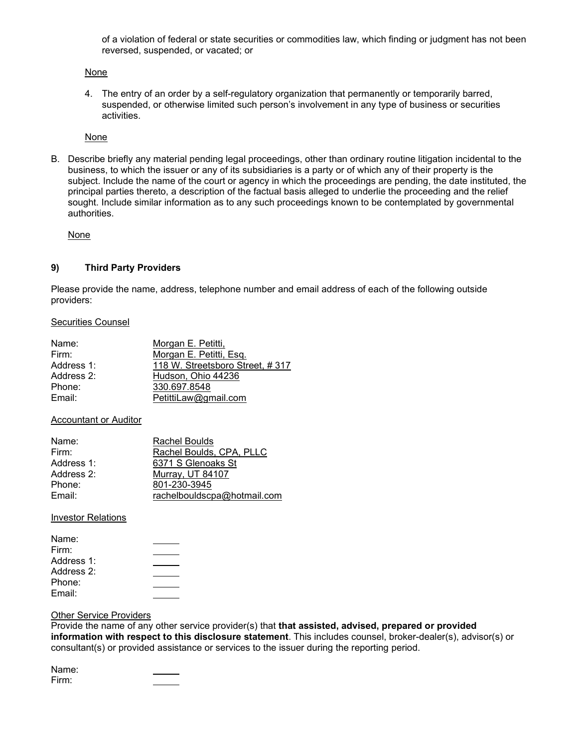of a violation of federal or state securities or commodities law, which finding or judgment has not been reversed, suspended, or vacated; or

#### None

4. The entry of an order by a self-regulatory organization that permanently or temporarily barred, suspended, or otherwise limited such person's involvement in any type of business or securities activities.

#### None

B. Describe briefly any material pending legal proceedings, other than ordinary routine litigation incidental to the business, to which the issuer or any of its subsidiaries is a party or of which any of their property is the subject. Include the name of the court or agency in which the proceedings are pending, the date instituted, the principal parties thereto, a description of the factual basis alleged to underlie the proceeding and the relief sought. Include similar information as to any such proceedings known to be contemplated by governmental authorities.

None

### **9) Third Party Providers**

Please provide the name, address, telephone number and email address of each of the following outside providers:

#### Securities Counsel

| Name:      | <u>Morgan E. Petitti,</u>       |
|------------|---------------------------------|
| Firm:      | Morgan E. Petitti, Esq.         |
| Address 1: | 118 W. Streetsboro Street, #317 |
| Address 2: | Hudson, Ohio 44236              |
| Phone:     | 330.697.8548                    |
| Email:     | PetittiLaw@gmail.com            |

### Accountant or Auditor

| Name:      | <b>Rachel Boulds</b>        |
|------------|-----------------------------|
| Firm:      | Rachel Boulds, CPA, PLLC    |
| Address 1: | 6371 S Glenoaks St          |
| Address 2: | Murray, UT 84107            |
| Phone:     | 801-230-3945                |
| Email:     | rachelbouldscpa@hotmail.com |

Investor Relations

| Name:      |  |
|------------|--|
| Firm:      |  |
| Address 1: |  |
| Address 2: |  |
| Phone:     |  |
| Email:     |  |

### Other Service Providers

Provide the name of any other service provider(s) that **that assisted, advised, prepared or provided information with respect to this disclosure statement**. This includes counsel, broker-dealer(s), advisor(s) or consultant(s) or provided assistance or services to the issuer during the reporting period.

| Name: |  |
|-------|--|
| Firm: |  |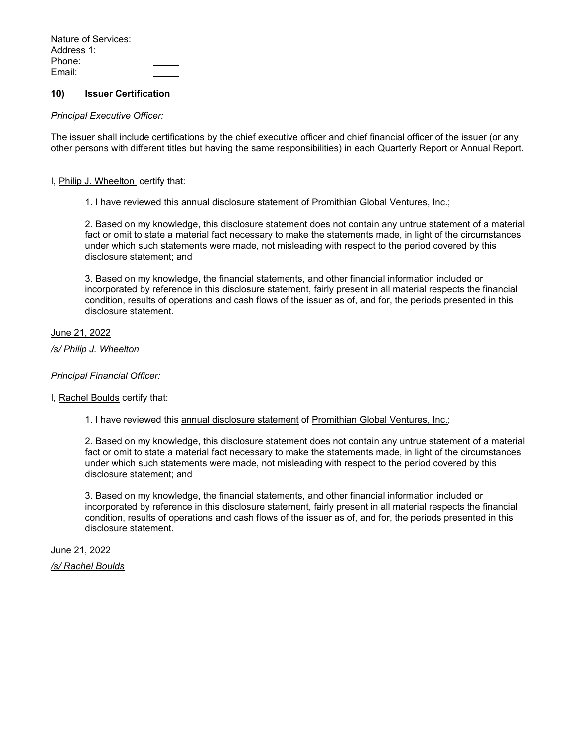| Nature of Services: |  |
|---------------------|--|
| Address 1:          |  |
| Phone:              |  |
| Email:              |  |

### **10) Issuer Certification**

#### *Principal Executive Officer:*

The issuer shall include certifications by the chief executive officer and chief financial officer of the issuer (or any other persons with different titles but having the same responsibilities) in each Quarterly Report or Annual Report.

### I, Philip J. Wheelton certify that:

### 1. I have reviewed this annual disclosure statement of Promithian Global Ventures, Inc.;

2. Based on my knowledge, this disclosure statement does not contain any untrue statement of a material fact or omit to state a material fact necessary to make the statements made, in light of the circumstances under which such statements were made, not misleading with respect to the period covered by this disclosure statement; and

3. Based on my knowledge, the financial statements, and other financial information included or incorporated by reference in this disclosure statement, fairly present in all material respects the financial condition, results of operations and cash flows of the issuer as of, and for, the periods presented in this disclosure statement.

June 21, 2022

### */s/ Philip J. Wheelton*

### *Principal Financial Officer:*

### I, Rachel Boulds certify that:

1. I have reviewed this annual disclosure statement of Promithian Global Ventures, Inc.;

2. Based on my knowledge, this disclosure statement does not contain any untrue statement of a material fact or omit to state a material fact necessary to make the statements made, in light of the circumstances under which such statements were made, not misleading with respect to the period covered by this disclosure statement; and

3. Based on my knowledge, the financial statements, and other financial information included or incorporated by reference in this disclosure statement, fairly present in all material respects the financial condition, results of operations and cash flows of the issuer as of, and for, the periods presented in this disclosure statement.

June 21, 2022

*/s/ Rachel Boulds*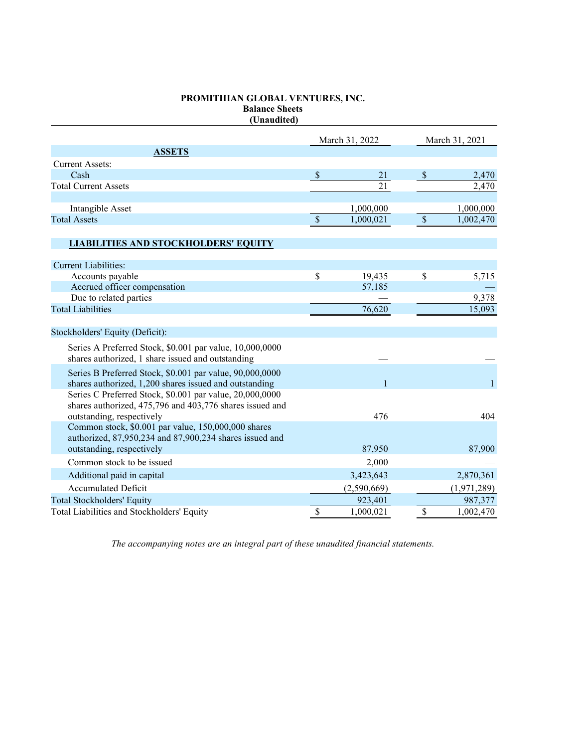### **PROMITHIAN GLOBAL VENTURES, INC. Balance Sheets (Unaudited)**

|                                                          | March 31, 2022  | March 31, 2021            |               |  |
|----------------------------------------------------------|-----------------|---------------------------|---------------|--|
| <b>ASSETS</b>                                            |                 |                           |               |  |
| <b>Current Assets:</b>                                   |                 |                           |               |  |
| Cash                                                     | \$<br>21        | \$                        | 2,470         |  |
| <b>Total Current Assets</b>                              | 21              |                           | 2,470         |  |
|                                                          |                 |                           |               |  |
| Intangible Asset                                         | 1,000,000       |                           | 1,000,000     |  |
| <b>Total Assets</b>                                      | \$<br>1,000,021 | $\boldsymbol{\mathsf{S}}$ | 1,002,470     |  |
|                                                          |                 |                           |               |  |
| <b>LIABILITIES AND STOCKHOLDERS' EQUITY</b>              |                 |                           |               |  |
|                                                          |                 |                           |               |  |
| <b>Current Liabilities:</b>                              |                 |                           |               |  |
| Accounts payable                                         | \$<br>19,435    | \$                        | 5,715         |  |
| Accrued officer compensation<br>Due to related parties   | 57,185          |                           | 9,378         |  |
| <b>Total Liabilities</b>                                 | 76,620          |                           | 15,093        |  |
|                                                          |                 |                           |               |  |
| Stockholders' Equity (Deficit):                          |                 |                           |               |  |
| Series A Preferred Stock, \$0.001 par value, 10,000,0000 |                 |                           |               |  |
| shares authorized, 1 share issued and outstanding        |                 |                           |               |  |
| Series B Preferred Stock, \$0.001 par value, 90,000,0000 |                 |                           |               |  |
| shares authorized, 1,200 shares issued and outstanding   | $\mathbf{1}$    |                           | $\mathbf{1}$  |  |
| Series C Preferred Stock, \$0.001 par value, 20,000,0000 |                 |                           |               |  |
| shares authorized, 475,796 and 403,776 shares issued and |                 |                           |               |  |
| outstanding, respectively                                | 476             |                           | 404           |  |
| Common stock, \$0.001 par value, 150,000,000 shares      |                 |                           |               |  |
| authorized, 87,950,234 and 87,900,234 shares issued and  |                 |                           |               |  |
| outstanding, respectively                                | 87,950          |                           | 87,900        |  |
| Common stock to be issued                                | 2,000           |                           |               |  |
| Additional paid in capital                               | 3,423,643       |                           | 2,870,361     |  |
| <b>Accumulated Deficit</b>                               | (2,590,669)     |                           | (1, 971, 289) |  |
| Total Stockholders' Equity                               | 923,401         |                           | 987,377       |  |
| Total Liabilities and Stockholders' Equity               | \$<br>1,000,021 | \$                        | 1,002,470     |  |

*The accompanying notes are an integral part of these unaudited financial statements.*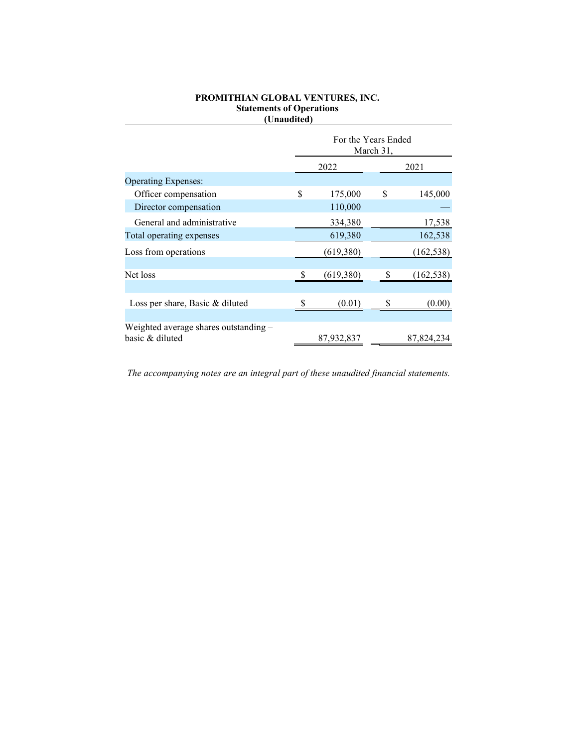### **PROMITHIAN GLOBAL VENTURES, INC. Statements of Operations (Unaudited)**

|                                                          | For the Years Ended<br>March 31, |            |    |            |  |  |  |
|----------------------------------------------------------|----------------------------------|------------|----|------------|--|--|--|
|                                                          |                                  | 2022       |    | 2021       |  |  |  |
| <b>Operating Expenses:</b>                               |                                  |            |    |            |  |  |  |
| Officer compensation                                     | \$                               | 175,000    | \$ | 145,000    |  |  |  |
| Director compensation                                    |                                  | 110,000    |    |            |  |  |  |
| General and administrative                               |                                  | 334,380    |    | 17,538     |  |  |  |
| Total operating expenses                                 |                                  | 619,380    |    | 162,538    |  |  |  |
| Loss from operations                                     |                                  | (619,380)  |    | (162, 538) |  |  |  |
| Net loss                                                 | <sup>\$</sup>                    | (619,380)  |    | (162, 538) |  |  |  |
| Loss per share, Basic & diluted                          |                                  | (0.01)     |    | (0.00)     |  |  |  |
| Weighted average shares outstanding -<br>basic & diluted |                                  | 87,932,837 |    | 87,824,234 |  |  |  |

*The accompanying notes are an integral part of these unaudited financial statements.*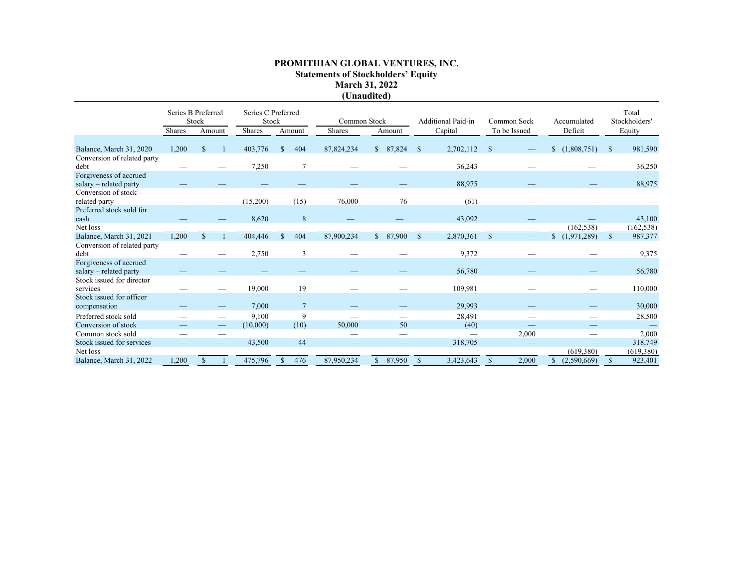### **PROMITHIAN GLOBAL VENTURES, INC. Statements of Stockholders' Equity March 31, 2022 (Unaudited)**

|                                                        |        | Series B Preferred<br>Stock | Series C Preferred<br>Stock |                      |              | Common Stock            |              | Additional Paid-in | Common Sock   | Accumulated                 | Total<br>Stockholders'<br>Equity |  |
|--------------------------------------------------------|--------|-----------------------------|-----------------------------|----------------------|--------------|-------------------------|--------------|--------------------|---------------|-----------------------------|----------------------------------|--|
|                                                        | Shares | Amount                      | Shares                      | Amount               | Shares       | Amount                  |              | Capital            | To be Issued  | Deficit                     |                                  |  |
| Balance, March 31, 2020<br>Conversion of related party | 1,200  | $\mathcal{S}$               | 403,776                     | 404<br>S             | 87, 824, 234 | \$87,824                | $\mathbb{S}$ | 2,702,112          | $\mathcal{S}$ | $\mathbb{S}$<br>(1,808,751) | 981,590<br>$\mathbb{S}$          |  |
| debt                                                   |        |                             | 7,250                       | $\overline{7}$       |              |                         |              | 36,243             |               |                             | 36,250                           |  |
| Forgiveness of accrued<br>salary - related party       |        |                             |                             |                      |              |                         |              | 88,975             |               |                             | 88,975                           |  |
| Conversion of stock $-$<br>related party               |        |                             | (15,200)                    | (15)                 | 76,000       | 76                      |              | (61)               |               |                             |                                  |  |
| Preferred stock sold for<br>cash                       |        |                             | 8,620                       | 8                    |              |                         |              | 43,092             |               |                             | 43,100                           |  |
| Net loss                                               |        |                             |                             |                      |              |                         |              |                    |               | (162, 538)                  | (162, 538)                       |  |
| Balance, March 31, 2021                                | 1,200  |                             | 404,446                     | 404<br><sup>\$</sup> | 87,900,234   | 87,900<br>$\mathcal{S}$ | $\mathbf S$  | 2,870,361          | $\mathcal{S}$ | (1,971,289)<br>\$           | $\mathbb{S}$<br>987,377          |  |
| Conversion of related party<br>debt                    |        |                             | 2,750                       | 3                    |              |                         |              | 9,372              |               |                             | 9,375                            |  |
| Forgiveness of accrued<br>salary - related party       |        |                             |                             |                      |              |                         |              | 56,780             |               |                             | 56,780                           |  |
| Stock issued for director<br>services                  |        |                             | 19,000                      | 19                   |              |                         |              | 109.981            |               |                             | 110,000                          |  |
| Stock issued for officer<br>compensation               |        |                             | 7,000                       | $\overline{7}$       |              |                         |              | 29,993             |               |                             | 30,000                           |  |
| Preferred stock sold                                   |        |                             | 9.100                       | 9                    |              |                         |              | 28,491             |               |                             | 28,500                           |  |
| Conversion of stock                                    |        |                             | (10,000)                    | (10)                 | 50,000       | 50                      |              | (40)               |               |                             |                                  |  |
| Common stock sold                                      |        |                             |                             |                      |              |                         |              |                    | 2,000         |                             | 2,000                            |  |
| Stock issued for services                              |        |                             | 43,500                      | 44                   |              |                         |              | 318,705            | -             |                             | 318,749                          |  |
| Net loss                                               | --     |                             |                             | -                    |              |                         |              |                    |               | (619,380)                   | (619,380)                        |  |
| Balance, March 31, 2022                                | 1,200  |                             | 475,796                     | 476                  | 87,950,234   | 87,950                  | $\mathbb{S}$ | 3,423,643          | 2,000         | (2,590,669)                 | 923,401<br><sup>\$</sup>         |  |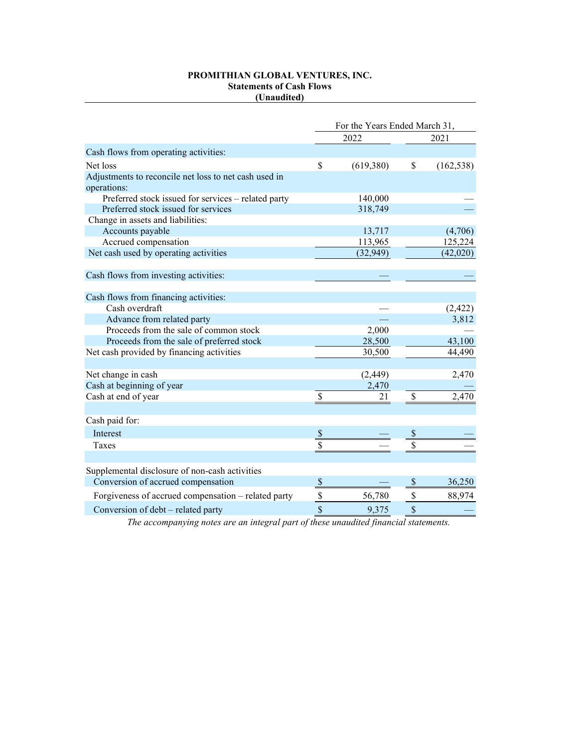### **PROMITHIAN GLOBAL VENTURES, INC. Statements of Cash Flows (Unaudited)**

|                                                       | For the Years Ended March 31, |           |                           |            |  |  |
|-------------------------------------------------------|-------------------------------|-----------|---------------------------|------------|--|--|
|                                                       |                               | 2022      |                           | 2021       |  |  |
| Cash flows from operating activities:                 |                               |           |                           |            |  |  |
| Net loss                                              | $\mathbf S$                   | (619,380) | \$                        | (162, 538) |  |  |
| Adjustments to reconcile net loss to net cash used in |                               |           |                           |            |  |  |
| operations:                                           |                               |           |                           |            |  |  |
| Preferred stock issued for services - related party   |                               | 140,000   |                           |            |  |  |
| Preferred stock issued for services                   |                               | 318,749   |                           |            |  |  |
| Change in assets and liabilities:                     |                               |           |                           |            |  |  |
| Accounts payable                                      |                               | 13,717    |                           | (4,706)    |  |  |
| Accrued compensation                                  |                               | 113,965   |                           | 125,224    |  |  |
| Net cash used by operating activities                 |                               | (32, 949) |                           | (42,020)   |  |  |
| Cash flows from investing activities:                 |                               |           |                           |            |  |  |
| Cash flows from financing activities:                 |                               |           |                           |            |  |  |
| Cash overdraft                                        |                               |           |                           | (2, 422)   |  |  |
| Advance from related party                            |                               |           |                           | 3,812      |  |  |
| Proceeds from the sale of common stock                |                               | 2,000     |                           |            |  |  |
| Proceeds from the sale of preferred stock             |                               | 28,500    |                           | 43,100     |  |  |
| Net cash provided by financing activities             |                               | 30,500    |                           | 44,490     |  |  |
| Net change in cash                                    |                               | (2, 449)  |                           | 2,470      |  |  |
| Cash at beginning of year                             |                               | 2,470     |                           |            |  |  |
| Cash at end of year                                   | \$                            | 21        | \$                        | 2,470      |  |  |
| Cash paid for:                                        |                               |           |                           |            |  |  |
| Interest                                              |                               |           | \$                        |            |  |  |
| Taxes                                                 | $rac{s}{s}$                   |           | \$                        |            |  |  |
|                                                       |                               |           |                           |            |  |  |
| Supplemental disclosure of non-cash activities        |                               |           |                           |            |  |  |
| Conversion of accrued compensation                    | $\mathcal{S}$                 |           | \$                        | 36,250     |  |  |
| Forgiveness of accrued compensation - related party   | \$                            | 56,780    | \$                        | 88,974     |  |  |
| Conversion of debt – related party                    | \$                            | 9,375     | $\boldsymbol{\mathsf{S}}$ |            |  |  |

*The accompanying notes are an integral part of these unaudited financial statements.*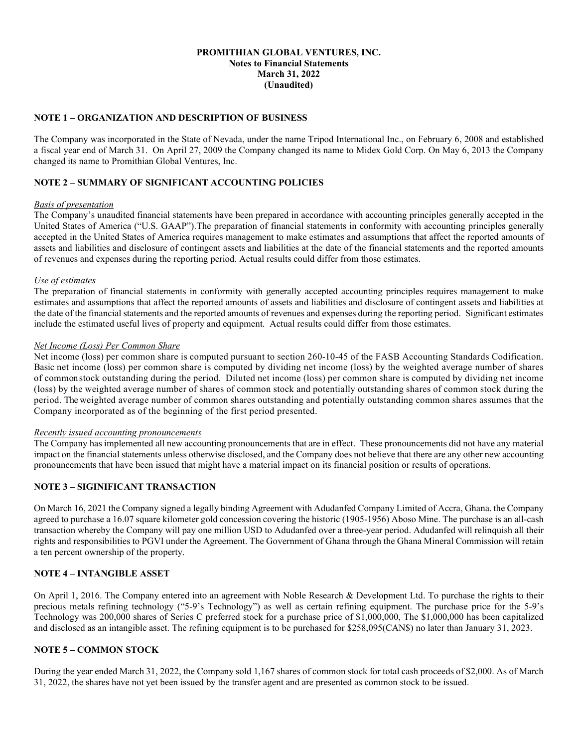#### **PROMITHIAN GLOBAL VENTURES, INC. Notes to Financial Statements March 31, 2022 (Unaudited)**

### **NOTE 1 – ORGANIZATION AND DESCRIPTION OF BUSINESS**

The Company was incorporated in the State of Nevada, under the name Tripod International Inc., on February 6, 2008 and established a fiscal year end of March 31. On April 27, 2009 the Company changed its name to Midex Gold Corp. On May 6, 2013 the Company changed its name to Promithian Global Ventures, Inc.

### **NOTE 2 – SUMMARY OF SIGNIFICANT ACCOUNTING POLICIES**

#### *Basis of presentation*

The Company's unaudited financial statements have been prepared in accordance with accounting principles generally accepted in the United States of America ("U.S. GAAP").The preparation of financial statements in conformity with accounting principles generally accepted in the United States of America requires management to make estimates and assumptions that affect the reported amounts of assets and liabilities and disclosure of contingent assets and liabilities at the date of the financial statements and the reported amounts of revenues and expenses during the reporting period. Actual results could differ from those estimates.

#### *Use of estimates*

The preparation of financial statements in conformity with generally accepted accounting principles requires management to make estimates and assumptions that affect the reported amounts of assets and liabilities and disclosure of contingent assets and liabilities at the date of the financial statements and the reported amounts of revenues and expenses during the reporting period. Significant estimates include the estimated useful lives of property and equipment. Actual results could differ from those estimates.

#### *Net Income (Loss) Per Common Share*

Net income (loss) per common share is computed pursuant to section 260-10-45 of the FASB Accounting Standards Codification. Basic net income (loss) per common share is computed by dividing net income (loss) by the weighted average number of shares of common stock outstanding during the period. Diluted net income (loss) per common share is computed by dividing net income (loss) by the weighted average number of shares of common stock and potentially outstanding shares of common stock during the period. The weighted average number of common shares outstanding and potentially outstanding common shares assumes that the Company incorporated as of the beginning of the first period presented.

#### *Recently issued accounting pronouncements*

The Company has implemented all new accounting pronouncements that are in effect. These pronouncements did not have any material impact on the financial statements unless otherwise disclosed, and the Company does not believe that there are any other new accounting pronouncements that have been issued that might have a material impact on its financial position or results of operations.

### **NOTE 3 – SIGINIFICANT TRANSACTION**

On March 16, 2021 the Company signed a legally binding Agreement with Adudanfed Company Limited of Accra, Ghana. the Company agreed to purchase a 16.07 square kilometer gold concession covering the historic (1905-1956) Aboso Mine. The purchase is an all-cash transaction whereby the Company will pay one million USD to Adudanfed over a three-year period. Adudanfed will relinquish all their rights and responsibilities to PGVI under the Agreement. The Government of Ghana through the Ghana Mineral Commission will retain a ten percent ownership of the property.

### **NOTE 4 – INTANGIBLE ASSET**

On April 1, 2016. The Company entered into an agreement with Noble Research & Development Ltd. To purchase the rights to their precious metals refining technology ("5-9's Technology") as well as certain refining equipment. The purchase price for the 5-9's Technology was 200,000 shares of Series C preferred stock for a purchase price of \$1,000,000, The \$1,000,000 has been capitalized and disclosed as an intangible asset. The refining equipment is to be purchased for \$258,095(CAN\$) no later than January 31, 2023.

### **NOTE 5 – COMMON STOCK**

During the year ended March 31, 2022, the Company sold 1,167 shares of common stock for total cash proceeds of \$2,000. As of March 31, 2022, the shares have not yet been issued by the transfer agent and are presented as common stock to be issued.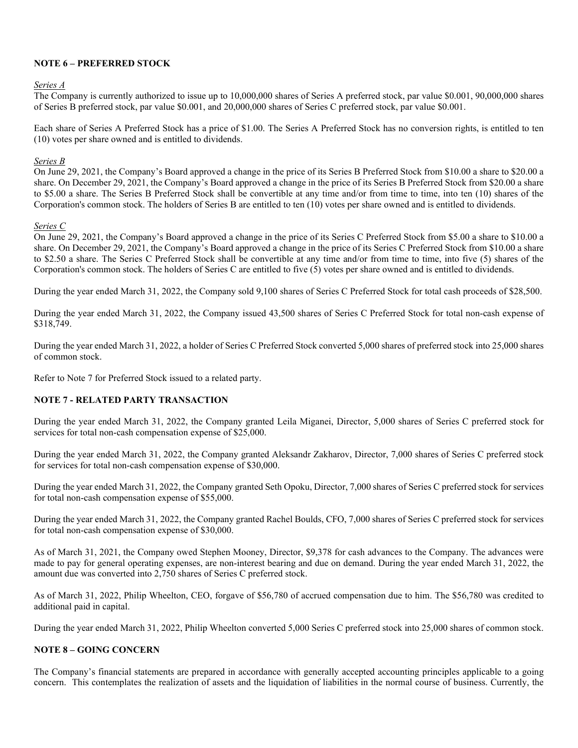### **NOTE 6 – PREFERRED STOCK**

#### *Series A*

The Company is currently authorized to issue up to 10,000,000 shares of Series A preferred stock, par value \$0.001, 90,000,000 shares of Series B preferred stock, par value \$0.001, and 20,000,000 shares of Series C preferred stock, par value \$0.001.

Each share of Series A Preferred Stock has a price of \$1.00. The Series A Preferred Stock has no conversion rights, is entitled to ten (10) votes per share owned and is entitled to dividends.

#### *Series B*

On June 29, 2021, the Company's Board approved a change in the price of its Series B Preferred Stock from \$10.00 a share to \$20.00 a share. On December 29, 2021, the Company's Board approved a change in the price of its Series B Preferred Stock from \$20.00 a share to \$5.00 a share. The Series B Preferred Stock shall be convertible at any time and/or from time to time, into ten (10) shares of the Corporation's common stock. The holders of Series B are entitled to ten (10) votes per share owned and is entitled to dividends.

#### *Series C*

On June 29, 2021, the Company's Board approved a change in the price of its Series C Preferred Stock from \$5.00 a share to \$10.00 a share. On December 29, 2021, the Company's Board approved a change in the price of its Series C Preferred Stock from \$10.00 a share to \$2.50 a share. The Series C Preferred Stock shall be convertible at any time and/or from time to time, into five (5) shares of the Corporation's common stock. The holders of Series C are entitled to five (5) votes per share owned and is entitled to dividends.

During the year ended March 31, 2022, the Company sold 9,100 shares of Series C Preferred Stock for total cash proceeds of \$28,500.

During the year ended March 31, 2022, the Company issued 43,500 shares of Series C Preferred Stock for total non-cash expense of \$318,749.

During the year ended March 31, 2022, a holder of Series C Preferred Stock converted 5,000 shares of preferred stock into 25,000 shares of common stock.

Refer to Note 7 for Preferred Stock issued to a related party.

### **NOTE 7 - RELATED PARTY TRANSACTION**

During the year ended March 31, 2022, the Company granted Leila Miganei, Director, 5,000 shares of Series C preferred stock for services for total non-cash compensation expense of \$25,000.

During the year ended March 31, 2022, the Company granted Aleksandr Zakharov, Director, 7,000 shares of Series C preferred stock for services for total non-cash compensation expense of \$30,000.

During the year ended March 31, 2022, the Company granted Seth Opoku, Director, 7,000 shares of Series C preferred stock for services for total non-cash compensation expense of \$55,000.

During the year ended March 31, 2022, the Company granted Rachel Boulds, CFO, 7,000 shares of Series C preferred stock for services for total non-cash compensation expense of \$30,000.

As of March 31, 2021, the Company owed Stephen Mooney, Director, \$9,378 for cash advances to the Company. The advances were made to pay for general operating expenses, are non-interest bearing and due on demand. During the year ended March 31, 2022, the amount due was converted into 2,750 shares of Series C preferred stock.

As of March 31, 2022, Philip Wheelton, CEO, forgave of \$56,780 of accrued compensation due to him. The \$56,780 was credited to additional paid in capital.

During the year ended March 31, 2022, Philip Wheelton converted 5,000 Series C preferred stock into 25,000 shares of common stock.

### **NOTE 8 – GOING CONCERN**

The Company's financial statements are prepared in accordance with generally accepted accounting principles applicable to a going concern. This contemplates the realization of assets and the liquidation of liabilities in the normal course of business. Currently, the